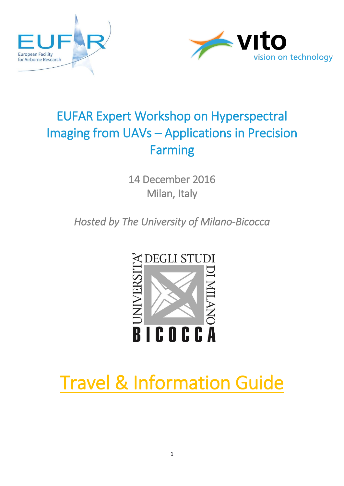



## EUFAR Expert Workshop on Hyperspectral Imaging from UAVs – Applications in Precision Farming

14 December 2016 Milan, Italy

*Hosted by The University of Milano-Bicocca* 



# Travel & Information Guide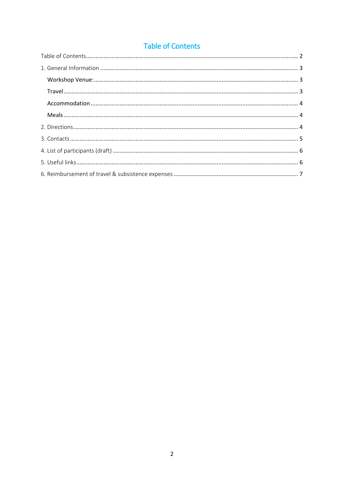## **Table of Contents**

<span id="page-1-0"></span>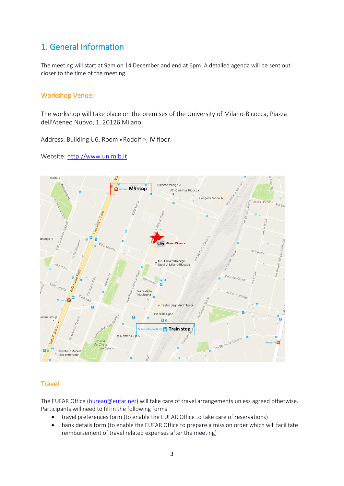## <span id="page-2-0"></span>1. General Information

The meeting will start at 9am on 14 December and end at 6pm. A detailed agenda will be sent out closer to the time of the meeting.

## <span id="page-2-1"></span>Workshop Venue:

The workshop will take place on the premises of the University of Milano-Bicocca, Piazza dell'Ateneo Nuovo, 1, 20126 Milano.

Address: Building U6, Room «Rodolfi», IV floor.

Website: [http://www.unimib.it](http://www.unimib.it/go/102/Home/English)



## <span id="page-2-2"></span>**Travel**

The EUFAR Office [\(bureau@eufar.net\)](mailto:bureau@eufar.net) will take care of travel arrangements unless agreed otherwise. Participants will need to fill in the following forms

- travel preferences form (to enable the EUFAR Office to take care of reservations)
- bank details form (to enable the EUFAR Office to prepare a mission order which will facilitate reimbursement of travel related expenses after the meeting)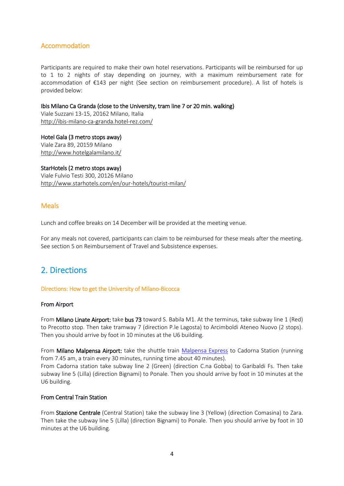## <span id="page-3-0"></span>Accommodation

Participants are required to make their own hotel reservations. Participants will be reimbursed for up to 1 to 2 nights of stay depending on journey, with a maximum reimbursement rate for accommodation of €143 per night (See section on reimbursement procedure). A list of hotels is provided below:

## Ibis Milano Ca Granda (close to the University, tram line 7 or 20 min. walking)

Viale Suzzani 13-15, 20162 Milano, Italia <http://ibis-milano-ca-granda.hotel-rez.com/>

Hotel Gala (3 metro stops away) Viale Zara 89, 20159 Milano <http://www.hotelgalamilano.it/>

## StarHotels (2 metro stops away)

Viale Fulvio Testi 300, 20126 Milano <http://www.starhotels.com/en/our-hotels/tourist-milan/>

## <span id="page-3-1"></span>**Meals**

Lunch and coffee breaks on 14 December will be provided at the meeting venue.

For any meals not covered, participants can claim to be reimbursed for these meals after the meeting. See section 5 on Reimbursement of Travel and Subsistence expenses.

## <span id="page-3-2"></span>2. Directions

## Directions: How to get the University of Milano-Bicocca

#### From Airport

From Milano Linate Airport: take bus 73 toward S. Babila M1. At the terminus, take subway line 1 (Red) to Precotto stop. Then take tramway 7 (direction P.le Lagosta) to Arcimboldi Ateneo Nuovo (2 stops). Then you should arrive by foot in 10 minutes at the U6 building.

From Milano Malpensa Airport: take the shuttle train [Malpensa Express](http://www.malpensaexpress.it/it/malpensa-express/home.aspx) to Cadorna Station (running from 7.45 am, a train every 30 minutes, running time about 40 minutes). From Cadorna station take subway line 2 (Green) (direction C.na Gobba) to Garibaldi Fs. Then take subway line 5 (Lilla) (direction Bignami) to Ponale. Then you should arrive by foot in 10 minutes at the U6 building.

#### From Central Train Station

From Stazione Centrale (Central Station) take the subway line 3 (Yellow) (direction Comasina) to Zara. Then take the subway line 5 (Lilla) (direction Bignami) to Ponale. Then you should arrive by foot in 10 minutes at the U6 building.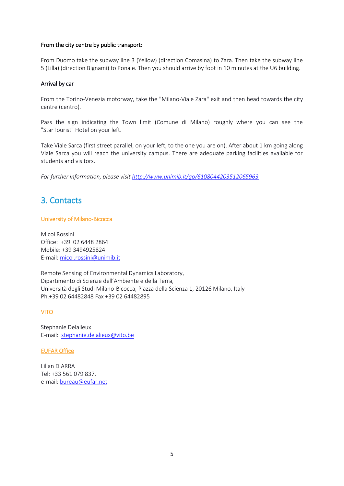## From the city centre by public transport:

From Duomo take the subway line 3 (Yellow) (direction Comasina) to Zara. Then take the subway line 5 (Lilla) (direction Bignami) to Ponale. Then you should arrive by foot in 10 minutes at the U6 building.

## Arrival by car

From the Torino-Venezia motorway, take the "Milano-Viale Zara" exit and then head towards the city centre (centro).

Pass the sign indicating the Town limit (Comune di Milano) roughly where you can see the "StarTourist" Hotel on your left.

Take Viale Sarca (first street parallel, on your left, to the one you are on). After about 1 km going along Viale Sarca you will reach the university campus. There are adequate parking facilities available for students and visitors.

<span id="page-4-0"></span>*For further information, please visi[t http://www.unimib.it/go/6108044203512065963](http://www.unimib.it/go/6108044203512065963)*

## 3. Contacts

## University of Milano-Bicocca

Micol Rossini Office: +39 02 6448 2864 Mobile: +39 3494925824 E-mail: [micol.rossini@unimib.it](mailto:micol.rossini@unimib.it)

Remote Sensing of Environmental Dynamics Laboratory, Dipartimento di Scienze dell'Ambiente e della Terra, Università degli Studi Milano-Bicocca, Piazza della Scienza 1, 20126 Milano, Italy Ph.+39 02 64482848 Fax +39 02 64482895

## VITO

Stephanie Delalieux E-mail: [stephanie.delalieux@vito.be](mailto:stephanie.delalieux@vito.be)

#### EUFAR Office

Lilian DIARRA Tel: +33 561 079 837, e-mail: [bureau@eufar.net](mailto:bureau@eufar.net)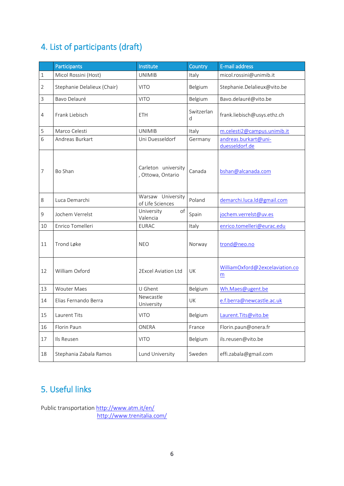## <span id="page-5-0"></span>4. List of participants (draft)

|                | Participants                | Institute                                | Country         | E-mail address                         |
|----------------|-----------------------------|------------------------------------------|-----------------|----------------------------------------|
| 1              | Micol Rossini (Host)        | <b>UNIMIB</b>                            | Italy           | micol.rossini@unimib.it                |
| $\overline{2}$ | Stephanie Delalieux (Chair) | <b>VITO</b>                              | Belgium         | Stephanie.Delalieux@vito.be            |
| 3              | Bavo Delauré                | <b>VITO</b>                              | Belgium         | Bavo.delauré@vito.be                   |
| 4              | Frank Liebisch              | <b>ETH</b>                               | Switzerlan<br>d | frank.liebisch@usys.ethz.ch            |
| 5              | Marco Celesti               | <b>UNIMIB</b>                            | Italy           | m.celesti2@campus.unimib.it            |
| 6              | Andreas Burkart             | Uni Duesseldorf                          | Germany         | andreas.burkart@uni-<br>duesseldorf.de |
| 7              | Bo Shan                     | Carleton university<br>, Ottowa, Ontario | Canada          | bshan@alcanada.com                     |
| 8              | Luca Demarchi               | Warsaw University<br>of Life Sciences    | Poland          | demarchi.luca.ld@gmail.com             |
| 9              | Jochem Verrelst             | University<br>of<br>Valencia             | Spain           | jochem.verrelst@uv.es                  |
| 10             | Enrico Tomelleri            | <b>EURAC</b>                             | Italy           | enrico.tomelleri@eurac.edu             |
| 11             | Trond Løke                  | <b>NEO</b>                               | Norway          | trond@neo.no                           |
| 12             | William Oxford              | 2Excel Aviation Ltd                      | UK              | WilliamOxford@2excelaviation.co<br>m   |
| 13             | <b>Wouter Maes</b>          | U Ghent                                  | Belgium         | Wh.Maes@ugent.be                       |
| 14             | Elias Fernando Berra        | Newcastle<br>University                  | UK              | e.f.berra@newcastle.ac.uk              |
| 15             | Laurent Tits                | <b>VITO</b>                              | Belgium         | Laurent. Tits@vito.be                  |
| 16             | Florin Paun                 | <b>ONERA</b>                             | France          | Florin.paun@onera.fr                   |
| 17             | Ils Reusen                  | <b>VITO</b>                              | Belgium         | ils.reusen@vito.be                     |
| 18             | Stephania Zabala Ramos      | Lund University                          | Sweden          | effi.zabala@gmail.com                  |

## <span id="page-5-1"></span>5. Useful links

Public transportatio[n http://www.atm.it/en/](http://www.atm.it/en/) <http://www.trenitalia.com/>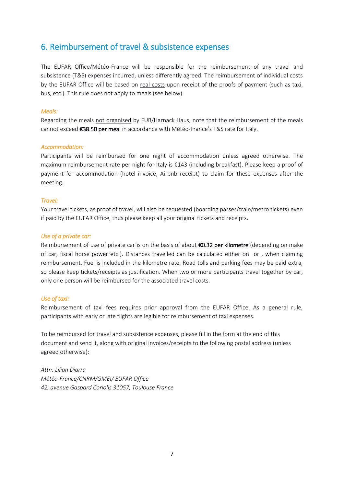## <span id="page-6-0"></span>6. Reimbursement of travel & subsistence expenses

The EUFAR Office/Météo-France will be responsible for the reimbursement of any travel and subsistence (T&S) expenses incurred, unless differently agreed. The reimbursement of individual costs by the EUFAR Office will be based on real costs upon receipt of the proofs of payment (such as taxi, bus, etc.). This rule does not apply to meals (see below).

## *Meals:*

Regarding the meals not organised by FUB/Harnack Haus, note that the reimbursement of the meals cannot exceed €38.50 per meal in accordance with Météo-France's T&S rate for Italy.

## *Accommodation:*

Participants will be reimbursed for one night of accommodation unless agreed otherwise. The maximum reimbursement rate per night for Italy is €143 (including breakfast). Please keep a proof of payment for accommodation (hotel invoice, Airbnb receipt) to claim for these expenses after the meeting.

## *Travel:*

Your travel tickets, as proof of travel, will also be requested (boarding passes/train/metro tickets) even if paid by the EUFAR Office, thus please keep all your original tickets and receipts.

## *Use of a private car:*

Reimbursement of use of private car is on the basis of about  $\epsilon$ 0.32 per kilometre (depending on make of car, fiscal horse power etc.). Distances travelled can be calculated either on or , when claiming reimbursement. Fuel is included in the kilometre rate. Road tolls and parking fees may be paid extra, so please keep tickets/receipts as justification. When two or more participants travel together by car, only one person will be reimbursed for the associated travel costs.

#### *Use of taxi:*

Reimbursement of taxi fees requires prior approval from the EUFAR Office. As a general rule, participants with early or late flights are legible for reimbursement of taxi expenses.

To be reimbursed for travel and subsistence expenses, please fill in the form at the end of this document and send it, along with original invoices/receipts to the following postal address (unless agreed otherwise):

*Attn: Lilian Diarra Météo-France/CNRM/GMEI/ EUFAR Office 42, avenue Gaspard Coriolis 31057, Toulouse France*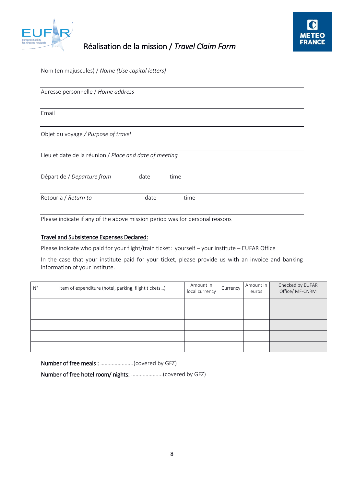

## Réalisation de la mission / *Travel Claim Form*



| Nom (en majuscules) / Name (Use capital letters)       |      |      |  |  |  |  |  |  |  |
|--------------------------------------------------------|------|------|--|--|--|--|--|--|--|
| Adresse personnelle / Home address                     |      |      |  |  |  |  |  |  |  |
| Email                                                  |      |      |  |  |  |  |  |  |  |
| Objet du voyage / Purpose of travel                    |      |      |  |  |  |  |  |  |  |
| Lieu et date de la réunion / Place and date of meeting |      |      |  |  |  |  |  |  |  |
| Départ de / Departure from                             | date | time |  |  |  |  |  |  |  |
| Retour à / Return to                                   | date | time |  |  |  |  |  |  |  |

Please indicate if any of the above mission period was for personal reasons

## Travel and Subsistence Expenses Declared:

Please indicate who paid for your flight/train ticket: yourself – your institute – EUFAR Office

In the case that your institute paid for your ticket, please provide us with an invoice and banking information of your institute.

| $N^{\circ}$ | Item of expenditure (hotel, parking, flight tickets) | Amount in<br>local currency | Currency | Amount in<br>euros | Checked by EUFAR<br>Office/ MF-CNRM |
|-------------|------------------------------------------------------|-----------------------------|----------|--------------------|-------------------------------------|
|             |                                                      |                             |          |                    |                                     |
|             |                                                      |                             |          |                    |                                     |
|             |                                                      |                             |          |                    |                                     |
|             |                                                      |                             |          |                    |                                     |
|             |                                                      |                             |          |                    |                                     |

Number of free meals : …………………..(covered by GFZ) Number of free hotel room/ nights: ………………….(covered by GFZ)